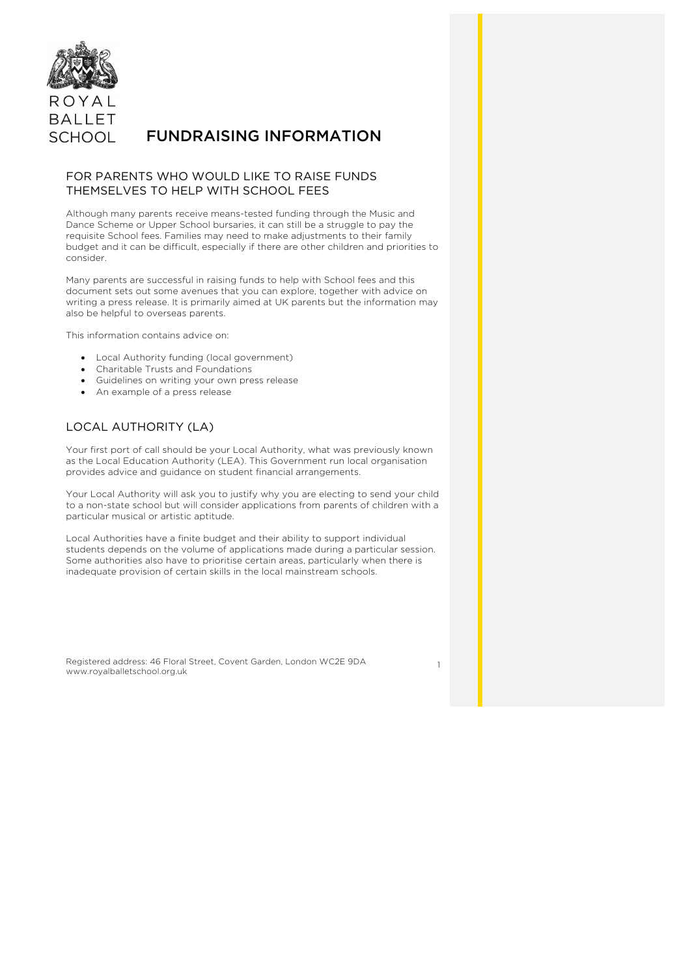

# FUNDRAISING INFORMATION

### FOR PARENTS WHO WOULD LIKE TO RAISE FUNDS THEMSELVES TO HELP WITH SCHOOL FEES

Although many parents receive means-tested funding through the Music and Dance Scheme or Upper School bursaries, it can still be a struggle to pay the requisite School fees. Families may need to make adjustments to their family budget and it can be difficult, especially if there are other children and priorities to consider.

Many parents are successful in raising funds to help with School fees and this document sets out some avenues that you can explore, together with advice on writing a press release. It is primarily aimed at UK parents but the information may also be helpful to overseas parents.

This information contains advice on:

- Local Authority funding (local government)
- Charitable Trusts and Foundations
- Guidelines on writing your own press release
- An example of a press release

# LOCAL AUTHORITY (LA)

Your first port of call should be your Local Authority, what was previously known as the Local Education Authority (LEA). This Government run local organisation provides advice and guidance on student financial arrangements.

Your Local Authority will ask you to justify why you are electing to send your child to a non-state school but will consider applications from parents of children with a particular musical or artistic aptitude.

Local Authorities have a finite budget and their ability to support individual students depends on the volume of applications made during a particular session. Some authorities also have to prioritise certain areas, particularly when there is inadequate provision of certain skills in the local mainstream schools.

Registered address: 46 Floral Street, Covent Garden, London WC2E 9DA www.royalballetschool.org.uk

1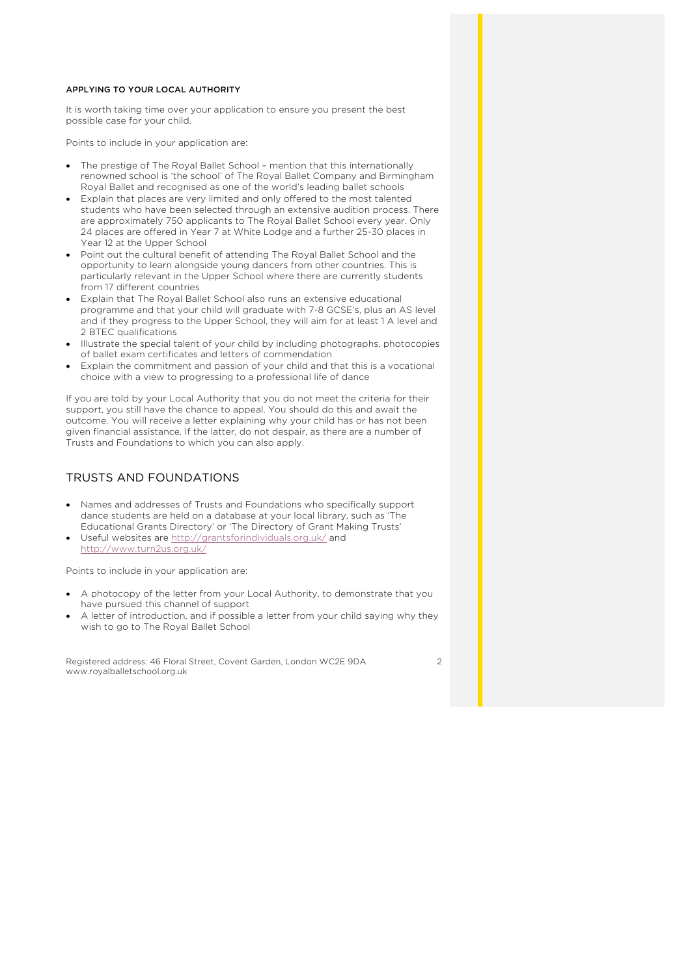### APPLYING TO YOUR LOCAL AUTHORITY

It is worth taking time over your application to ensure you present the best possible case for your child.

Points to include in your application are:

- The prestige of The Royal Ballet School mention that this internationally renowned school is 'the school' of The Royal Ballet Company and Birmingham Royal Ballet and recognised as one of the world's leading ballet schools
- Explain that places are very limited and only offered to the most talented students who have been selected through an extensive audition process. There are approximately 750 applicants to The Royal Ballet School every year. Only 24 places are offered in Year 7 at White Lodge and a further 25-30 places in Year 12 at the Upper School
- Point out the cultural benefit of attending The Royal Ballet School and the opportunity to learn alongside young dancers from other countries. This is particularly relevant in the Upper School where there are currently students from 17 different countries
- Explain that The Royal Ballet School also runs an extensive educational programme and that your child will graduate with 7-8 GCSE's, plus an AS level and if they progress to the Upper School, they will aim for at least 1 A level and 2 BTEC qualifications
- Illustrate the special talent of your child by including photographs, photocopies of ballet exam certificates and letters of commendation
- Explain the commitment and passion of your child and that this is a vocational choice with a view to progressing to a professional life of dance

If you are told by your Local Authority that you do not meet the criteria for their support, you still have the chance to appeal. You should do this and await the outcome. You will receive a letter explaining why your child has or has not been given financial assistance. If the latter, do not despair, as there are a number of Trusts and Foundations to which you can also apply.

# TRUSTS AND FOUNDATIONS

- Names and addresses of Trusts and Foundations who specifically support dance students are held on a database at your local library, such as 'The Educational Grants Directory' or 'The Directory of Grant Making Trusts'
- Useful websites are http://grantsforindividuals.org.uk/ and http://www.turn2us.org.uk/

Points to include in your application are:

- A photocopy of the letter from your Local Authority, to demonstrate that you have pursued this channel of support
- A letter of introduction, and if possible a letter from your child saying why they wish to go to The Royal Ballet School

Registered address: 46 Floral Street, Covent Garden, London WC2E 9DA www.royalballetschool.org.uk

 $\overline{2}$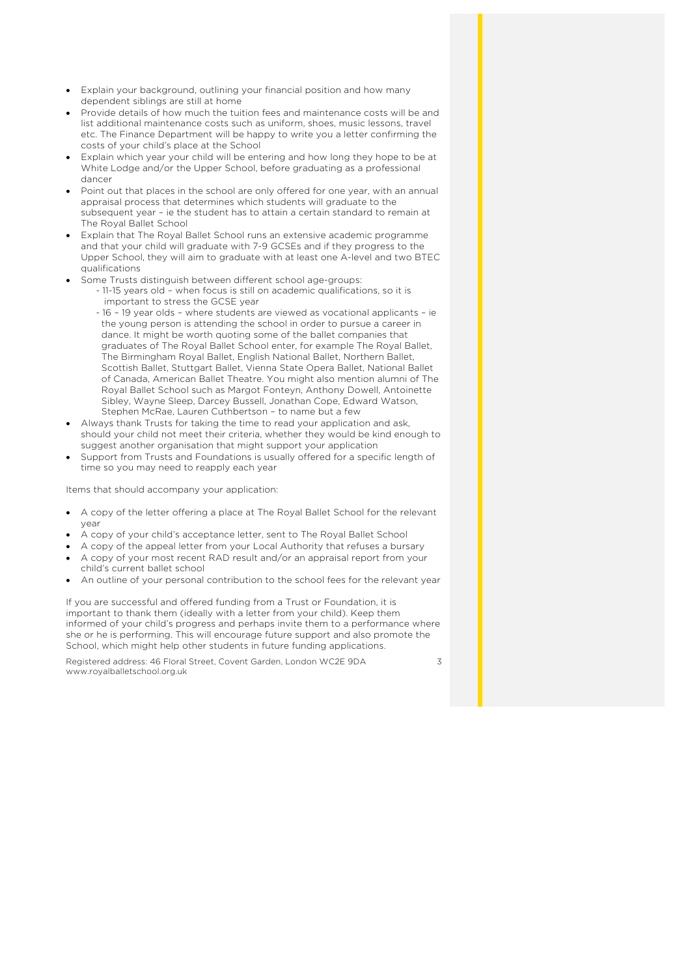- Explain your background, outlining your financial position and how many dependent siblings are still at home
- Provide details of how much the tuition fees and maintenance costs will be and list additional maintenance costs such as uniform, shoes, music lessons, travel etc. The Finance Department will be happy to write you a letter confirming the costs of your child's place at the School
- Explain which year your child will be entering and how long they hope to be at White Lodge and/or the Upper School, before graduating as a professional dancer
- Point out that places in the school are only offered for one year, with an annual appraisal process that determines which students will graduate to the subsequent year – ie the student has to attain a certain standard to remain at The Royal Ballet School
- Explain that The Royal Ballet School runs an extensive academic programme and that your child will graduate with 7-9 GCSEs and if they progress to the Upper School, they will aim to graduate with at least one A-level and two BTEC qualifications
- Some Trusts distinguish between different school age-groups:
	- 11-15 years old when focus is still on academic qualifications, so it is important to stress the GCSE year
		- 16 19 year olds where students are viewed as vocational applicants ie the young person is attending the school in order to pursue a career in dance. It might be worth quoting some of the ballet companies that graduates of The Royal Ballet School enter, for example The Royal Ballet, The Birmingham Royal Ballet, English National Ballet, Northern Ballet, Scottish Ballet, Stuttgart Ballet, Vienna State Opera Ballet, National Ballet of Canada, American Ballet Theatre. You might also mention alumni of The Royal Ballet School such as Margot Fonteyn, Anthony Dowell, Antoinette Sibley, Wayne Sleep, Darcey Bussell, Jonathan Cope, Edward Watson, Stephen McRae, Lauren Cuthbertson – to name but a few
- Always thank Trusts for taking the time to read your application and ask, should your child not meet their criteria, whether they would be kind enough to suggest another organisation that might support your application
- Support from Trusts and Foundations is usually offered for a specific length of time so you may need to reapply each year

Items that should accompany your application:

- A copy of the letter offering a place at The Royal Ballet School for the relevant year
- A copy of your child's acceptance letter, sent to The Royal Ballet School
- A copy of the appeal letter from your Local Authority that refuses a bursary
- A copy of your most recent RAD result and/or an appraisal report from your child's current ballet school
- An outline of your personal contribution to the school fees for the relevant year

If you are successful and offered funding from a Trust or Foundation, it is important to thank them (ideally with a letter from your child). Keep them informed of your child's progress and perhaps invite them to a performance where she or he is performing. This will encourage future support and also promote the School, which might help other students in future funding applications.

Registered address: 46 Floral Street, Covent Garden, London WC2E 9DA www.royalballetschool.org.uk

 $\overline{\phantom{a}}$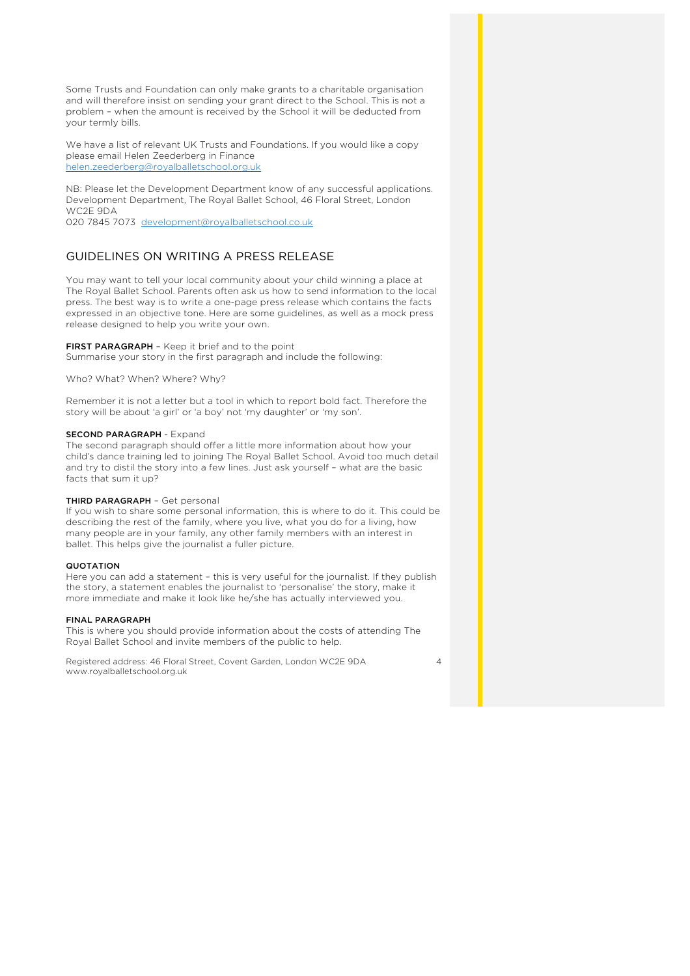Some Trusts and Foundation can only make grants to a charitable organisation and will therefore insist on sending your grant direct to the School. This is not a problem – when the amount is received by the School it will be deducted from your termly bills.

We have a list of relevant UK Trusts and Foundations. If you would like a copy please email Helen Zeederberg in Finance helen.zeederberg@royalballetschool.org.uk

NB: Please let the Development Department know of any successful applications. Development Department, The Royal Ballet School, 46 Floral Street, London WC2E 9DA

020 7845 7073 development@royalballetschool.co.uk

### GUIDELINES ON WRITING A PRESS RELEASE

You may want to tell your local community about your child winning a place at The Royal Ballet School. Parents often ask us how to send information to the local press. The best way is to write a one-page press release which contains the facts expressed in an objective tone. Here are some guidelines, as well as a mock press release designed to help you write your own.

FIRST PARAGRAPH - Keep it brief and to the point

Summarise your story in the first paragraph and include the following:

Who? What? When? Where? Why?

Remember it is not a letter but a tool in which to report bold fact. Therefore the story will be about 'a girl' or 'a boy' not 'my daughter' or 'my son'.

#### SECOND PARAGRAPH - Expand

The second paragraph should offer a little more information about how your child's dance training led to joining The Royal Ballet School. Avoid too much detail and try to distil the story into a few lines. Just ask yourself – what are the basic facts that sum it up?

#### THIRD PARAGRAPH – Get personal

If you wish to share some personal information, this is where to do it. This could be describing the rest of the family, where you live, what you do for a living, how many people are in your family, any other family members with an interest in ballet. This helps give the journalist a fuller picture.

#### **QUOTATION**

Here you can add a statement – this is very useful for the journalist. If they publish the story, a statement enables the journalist to 'personalise' the story, make it more immediate and make it look like he/she has actually interviewed you.

#### FINAL PARAGRAPH

This is where you should provide information about the costs of attending The Royal Ballet School and invite members of the public to help.

Registered address: 46 Floral Street, Covent Garden, London WC2E 9DA www.royalballetschool.org.uk

 $\Delta$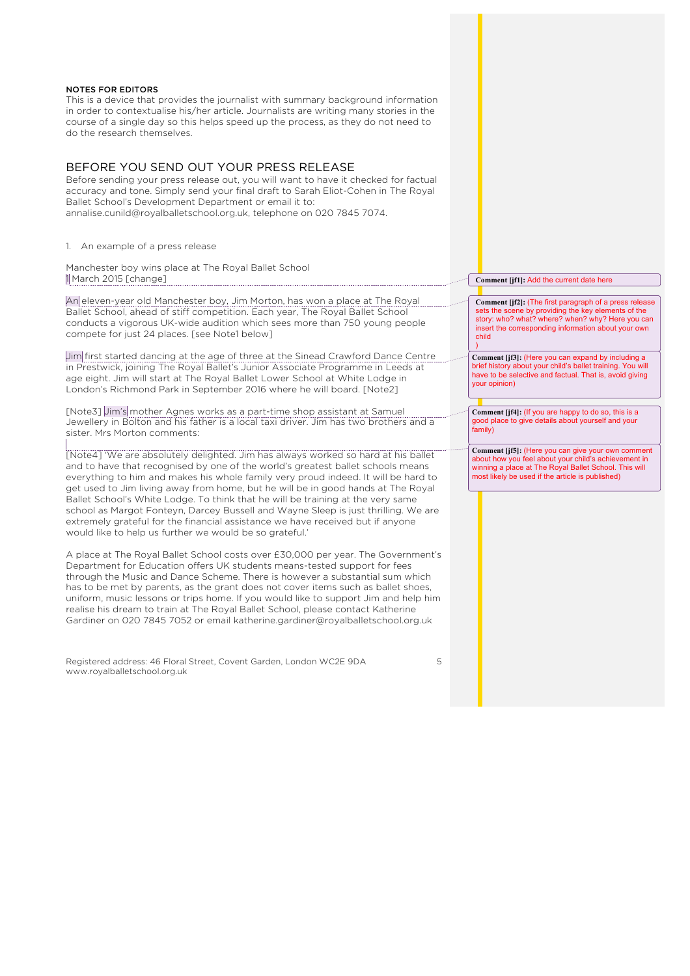

Registered address: 46 Floral Street, Covent Garden, London WC2E 9DA www.royalballetschool.org.uk

5